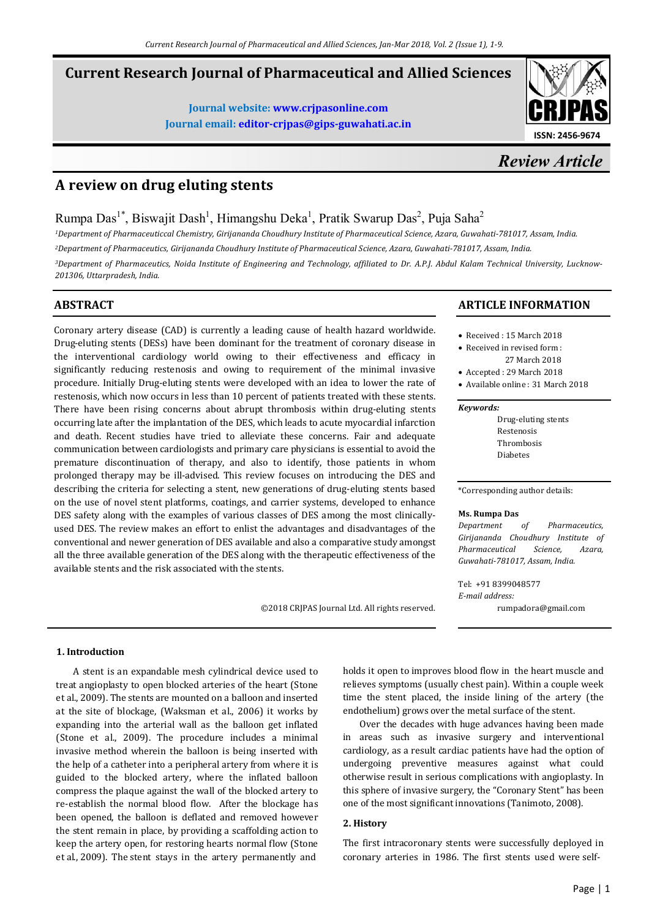# **Current Research Journal of Pharmaceutical and Allied Sciences**

**Journal website: www.crjpasonline.com Journal email: editor-crjpas@gips-guwahati.ac.in** 



# *Review Article*

# **A review on drug eluting stents**

Rumpa Das<sup>1\*</sup>, Biswajit Dash<sup>1</sup>, Himangshu Deka<sup>1</sup>, Pratik Swarup Das<sup>2</sup>, Puja Saha<sup>2</sup>

*<sup>1</sup>Department of Pharmaceuticcal Chemistry, Girijananda Choudhury Institute of Pharmaceutical Science, Azara, Guwahati-781017, Assam, India.* 

*<sup>2</sup>Department of Pharmaceutics, Girijananda Choudhury Institute of Pharmaceutical Science, Azara, Guwahati-781017, Assam, India.* 

*3Department of Pharmaceutics, Noida Institute of Engineering and Technology, affiliated to Dr. A.P.J. Abdul Kalam Technical University, Lucknow-201306, Uttarpradesh, India.* 

# **ABSTRACT**

Coronary artery disease (CAD) is currently a leading cause of health hazard worldwide. Drug-eluting stents (DESs) have been dominant for the treatment of coronary disease in the interventional cardiology world owing to their effectiveness and efficacy in significantly reducing restenosis and owing to requirement of the minimal invasive procedure. Initially Drug-eluting stents were developed with an idea to lower the rate of restenosis, which now occurs in less than 10 percent of patients treated with these stents. There have been rising concerns about abrupt thrombosis within drug-eluting stents occurring late after the implantation of the DES, which leads to acute myocardial infarction and death. Recent studies have tried to alleviate these concerns. Fair and adequate communication between cardiologists and primary care physicians is essential to avoid the premature discontinuation of therapy, and also to identify, those patients in whom prolonged therapy may be ill-advised. This review focuses on introducing the DES and describing the criteria for selecting a stent, new generations of drug-eluting stents based on the use of novel stent platforms, coatings, and carrier systems, developed to enhance DES safety along with the examples of various classes of DES among the most clinicallyused DES. The review makes an effort to enlist the advantages and disadvantages of the conventional and newer generation of DES available and also a comparative study amongst all the three available generation of the DES along with the therapeutic effectiveness of the available stents and the risk associated with the stents.

©2018 CRJPAS Journal Ltd. All rights reserved.

# **ARTICLE INFORMATION**

- Received : 15 March 2018
- Received in revised form : 27 March 2018
- Accepted : 29 March 2018
- Available online : 31 March 2018

#### *Keywords:*

Drug-eluting stents Restenosis Thrombosis Diabetes

\*Corresponding author details:

#### **Ms. Rumpa Das**

*Department of Pharmaceutics, Girijananda Choudhury Institute of Pharmaceutical Science, Azara, Guwahati-781017, Assam, India.* 

Tel: +91 8399048577 *E-mail address:* rumpadora@gmail.com

# **1. Introduction**

 A stent is an expandable mesh cylindrical device used to treat angioplasty to open blocked arteries of the heart (Stone et al., 2009). The stents are mounted on a balloon and inserted at the site of blockage, (Waksman et al., 2006) it works by expanding into the arterial wall as the balloon get inflated (Stone et al., 2009). The procedure includes a minimal invasive method wherein the balloon is being inserted with the help of a catheter into a peripheral artery from where it is guided to the blocked artery, where the inflated balloon compress the plaque against the wall of the blocked artery to re-establish the normal blood flow. After the blockage has been opened, the balloon is deflated and removed however the stent remain in place, by providing a scaffolding action to keep the artery open, for restoring hearts normal flow (Stone et al., 2009). The stent stays in the artery permanently and

holds it open to improves blood flow in the heart muscle and relieves symptoms (usually chest pain). Within a couple week time the stent placed, the inside lining of the artery (the endothelium) grows over the metal surface of the stent.

 Over the decades with huge advances having been made in areas such as invasive surgery and interventional cardiology, as a result cardiac patients have had the option of undergoing preventive measures against what could otherwise result in serious complications with angioplasty. In this sphere of invasive surgery, the "Coronary Stent" has been one of the most significant innovations (Tanimoto, 2008).

# **2. History**

The first intracoronary stents were successfully deployed in coronary arteries in 1986. The first stents used were self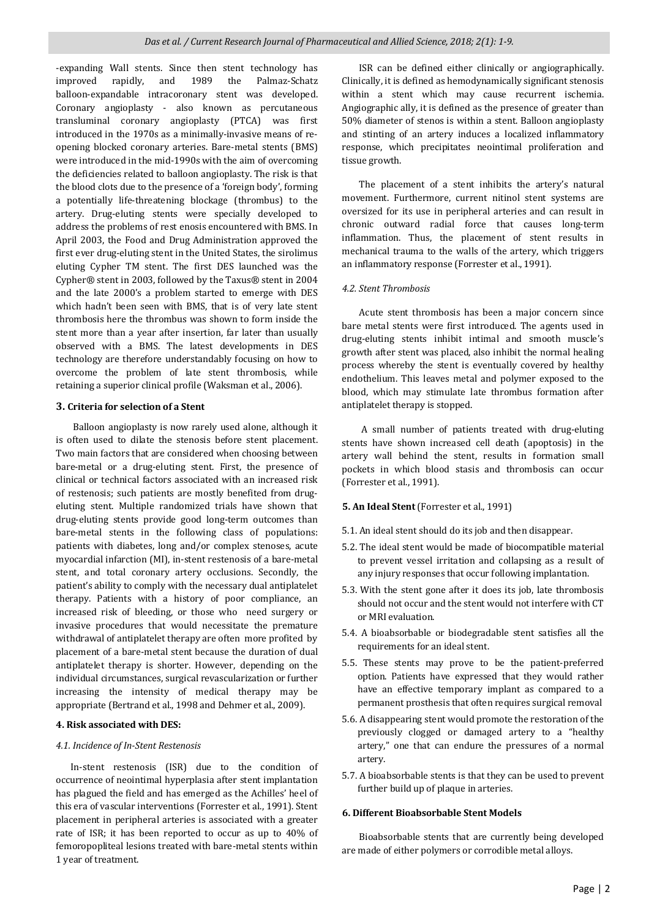-expanding Wall stents. Since then stent technology has improved rapidly, and 1989 the Palmaz-Schatz balloon-expandable intracoronary stent was developed. Coronary angioplasty - also known as percutaneous transluminal coronary angioplasty (PTCA) was first introduced in the 1970s as a minimally-invasive means of reopening blocked coronary arteries. Bare-metal stents (BMS) were introduced in the mid-1990s with the aim of overcoming the deficiencies related to balloon angioplasty. The risk is that the blood clots due to the presence of a 'foreign body', forming a potentially life-threatening blockage (thrombus) to the artery. Drug-eluting stents were specially developed to address the problems of rest enosis encountered with BMS. In April 2003, the Food and Drug Administration approved the first ever drug-eluting stent in the United States, the sirolimus eluting Cypher TM stent. The first DES launched was the Cypher® stent in 2003, followed by the Taxus® stent in 2004 and the late 2000's a problem started to emerge with DES which hadn't been seen with BMS, that is of very late stent thrombosis here the thrombus was shown to form inside the stent more than a year after insertion, far later than usually observed with a BMS. The latest developments in DES technology are therefore understandably focusing on how to overcome the problem of late stent thrombosis, while retaining a superior clinical profile (Waksman et al., 2006).

## **3. Criteria for selection of a Stent**

 Balloon angioplasty is now rarely used alone, although it is often used to dilate the stenosis before stent placement. Two main factors that are considered when choosing between bare-metal or a drug-eluting stent. First, the presence of clinical or technical factors associated with an increased risk of restenosis; such patients are mostly benefited from drugeluting stent. Multiple randomized trials have shown that drug-eluting stents provide good long-term outcomes than bare-metal stents in the following class of populations: patients with diabetes, long and/or complex stenoses, acute myocardial infarction (MI), in-stent restenosis of a bare-metal stent, and total coronary artery occlusions. Secondly, the patient's ability to comply with the necessary dual antiplatelet therapy. Patients with a history of poor compliance, an increased risk of bleeding, or those who need surgery or invasive procedures that would necessitate the premature withdrawal of antiplatelet therapy are often more profited by placement of a bare-metal stent because the duration of dual antiplatelet therapy is shorter. However, depending on the individual circumstances, surgical revascularization or further increasing the intensity of medical therapy may be appropriate (Bertrand et al., 1998 and Dehmer et al., 2009).

### **4. Risk associated with DES:**

# *4.1. Incidence of In-Stent Restenosis*

 In-stent restenosis (ISR) due to the condition of occurrence of neointimal hyperplasia after stent implantation has plagued the field and has emerged as the Achilles' heel of this era of vascular interventions (Forrester et al., 1991). Stent placement in peripheral arteries is associated with a greater rate of ISR; it has been reported to occur as up to 40% of femoropopliteal lesions treated with bare-metal stents within 1 year of treatment.

 ISR can be defined either clinically or angiographically. Clinically, it is defined as hemodynamically significant stenosis within a stent which may cause recurrent ischemia. Angiographic ally, it is defined as the presence of greater than 50% diameter of stenos is within a stent. Balloon angioplasty and stinting of an artery induces a localized inflammatory response, which precipitates neointimal proliferation and tissue growth.

 The placement of a stent inhibits the artery's natural movement. Furthermore, current nitinol stent systems are oversized for its use in peripheral arteries and can result in chronic outward radial force that causes long-term inflammation. Thus, the placement of stent results in mechanical trauma to the walls of the artery, which triggers an inflammatory response (Forrester et al., 1991).

## *4.2. Stent Thrombosis*

 Acute stent thrombosis has been a major concern since bare metal stents were first introduced. The agents used in drug-eluting stents inhibit intimal and smooth muscle's growth after stent was placed, also inhibit the normal healing process whereby the stent is eventually covered by healthy endothelium. This leaves metal and polymer exposed to the blood, which may stimulate late thrombus formation after antiplatelet therapy is stopped.

 A small number of patients treated with drug-eluting stents have shown increased cell death (apoptosis) in the artery wall behind the stent, results in formation small pockets in which blood stasis and thrombosis can occur (Forrester et al., 1991).

# **5. An Ideal Stent** (Forrester et al., 1991)

- 5.1. An ideal stent should do its job and then disappear.
- 5.2. The ideal stent would be made of biocompatible material to prevent vessel irritation and collapsing as a result of any injury responses that occur following implantation.
- 5.3. With the stent gone after it does its job, late thrombosis should not occur and the stent would not interfere with CT or MRI evaluation.
- 5.4. A bioabsorbable or biodegradable stent satisfies all the requirements for an ideal stent.
- 5.5. These stents may prove to be the patient-preferred option. Patients have expressed that they would rather have an effective temporary implant as compared to a permanent prosthesis that often requires surgical removal
- 5.6. A disappearing stent would promote the restoration of the previously clogged or damaged artery to a "healthy artery," one that can endure the pressures of a normal artery.
- 5.7. A bioabsorbable stents is that they can be used to prevent further build up of plaque in arteries.

## **6. Different Bioabsorbable Stent Models**

 Bioabsorbable stents that are currently being developed are made of either polymers or corrodible metal alloys.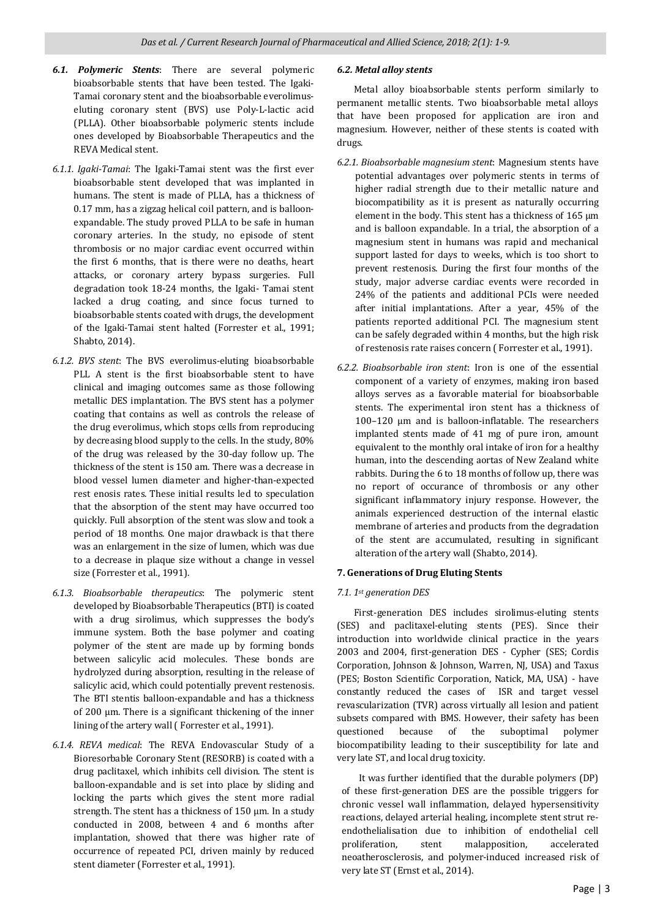- *6.1. Polymeric Stents*: There are several polymeric bioabsorbable stents that have been tested. The Igaki-Tamai coronary stent and the bioabsorbable everolimuseluting coronary stent (BVS) use Poly-L-lactic acid (PLLA). Other bioabsorbable polymeric stents include ones developed by Bioabsorbable Therapeutics and the REVA Medical stent.
- *6.1.1. Igaki-Tamai*: The Igaki-Tamai stent was the first ever bioabsorbable stent developed that was implanted in humans. The stent is made of PLLA, has a thickness of 0.17 mm, has a zigzag helical coil pattern, and is balloonexpandable. The study proved PLLA to be safe in human coronary arteries. In the study, no episode of stent thrombosis or no major cardiac event occurred within the first 6 months, that is there were no deaths, heart attacks, or coronary artery bypass surgeries. Full degradation took 18-24 months, the Igaki- Tamai stent lacked a drug coating, and since focus turned to bioabsorbable stents coated with drugs, the development of the Igaki-Tamai stent halted (Forrester et al., 1991; Shabto, 2014).
- *6.1.2. BVS stent*: The BVS everolimus-eluting bioabsorbable PLL A stent is the first bioabsorbable stent to have clinical and imaging outcomes same as those following metallic DES implantation. The BVS stent has a polymer coating that contains as well as controls the release of the drug everolimus, which stops cells from reproducing by decreasing blood supply to the cells. In the study, 80% of the drug was released by the 30-day follow up. The thickness of the stent is 150 am. There was a decrease in blood vessel lumen diameter and higher-than-expected rest enosis rates. These initial results led to speculation that the absorption of the stent may have occurred too quickly. Full absorption of the stent was slow and took a period of 18 months. One major drawback is that there was an enlargement in the size of lumen, which was due to a decrease in plaque size without a change in vessel size (Forrester et al., 1991).
- *6.1.3. Bioabsorbable therapeutics*: The polymeric stent developed by Bioabsorbable Therapeutics (BTI) is coated with a drug sirolimus, which suppresses the body's immune system. Both the base polymer and coating polymer of the stent are made up by forming bonds between salicylic acid molecules. These bonds are hydrolyzed during absorption, resulting in the release of salicylic acid, which could potentially prevent restenosis. The BTI stentis balloon-expandable and has a thickness of 200 μm. There is a significant thickening of the inner lining of the artery wall ( Forrester et al., 1991).
- *6.1.4. REVA medical*: The REVA Endovascular Study of a Bioresorbable Coronary Stent (RESORB) is coated with a drug paclitaxel, which inhibits cell division. The stent is balloon-expandable and is set into place by sliding and locking the parts which gives the stent more radial strength. The stent has a thickness of 150 μm. In a study conducted in 2008, between 4 and 6 months after implantation, showed that there was higher rate of occurrence of repeated PCI, driven mainly by reduced stent diameter (Forrester et al., 1991).

# *6.2. Metal alloy stents*

 Metal alloy bioabsorbable stents perform similarly to permanent metallic stents. Two bioabsorbable metal alloys that have been proposed for application are iron and magnesium. However, neither of these stents is coated with drugs.

- *6.2.1. Bioabsorbable magnesium stent*: Magnesium stents have potential advantages over polymeric stents in terms of higher radial strength due to their metallic nature and biocompatibility as it is present as naturally occurring element in the body. This stent has a thickness of 165 μm and is balloon expandable. In a trial, the absorption of a magnesium stent in humans was rapid and mechanical support lasted for days to weeks, which is too short to prevent restenosis. During the first four months of the study, major adverse cardiac events were recorded in 24% of the patients and additional PCIs were needed after initial implantations. After a year, 45% of the patients reported additional PCI. The magnesium stent can be safely degraded within 4 months, but the high risk of restenosis rate raises concern ( Forrester et al., 1991).
- *6.2.2. Bioabsorbable iron stent*: Iron is one of the essential component of a variety of enzymes, making iron based alloys serves as a favorable material for bioabsorbable stents. The experimental iron stent has a thickness of 100–120 μm and is balloon-inflatable. The researchers implanted stents made of 41 mg of pure iron, amount equivalent to the monthly oral intake of iron for a healthy human, into the descending aortas of New Zealand white rabbits. During the 6 to 18 months of follow up, there was no report of occurance of thrombosis or any other significant inflammatory injury response. However, the animals experienced destruction of the internal elastic membrane of arteries and products from the degradation of the stent are accumulated, resulting in significant alteration of the artery wall (Shabto, 2014).

# **7. Generations of Drug Eluting Stents**

# *7.1. 1st generation DES*

 First-generation DES includes sirolimus-eluting stents (SES) and paclitaxel-eluting stents (PES). Since their introduction into worldwide clinical practice in the years 2003 and 2004, first-generation DES - Cypher (SES; Cordis Corporation, Johnson & Johnson, Warren, NJ, USA) and Taxus (PES; Boston Scientific Corporation, Natick, MA, USA) - have constantly reduced the cases of ISR and target vessel revascularization (TVR) across virtually all lesion and patient subsets compared with BMS. However, their safety has been questioned because of the suboptimal polymer biocompatibility leading to their susceptibility for late and very late ST, and local drug toxicity.

 It was further identified that the durable polymers (DP) of these first-generation DES are the possible triggers for chronic vessel wall inflammation, delayed hypersensitivity reactions, delayed arterial healing, incomplete stent strut reendothelialisation due to inhibition of endothelial cell proliferation, stent malapposition, accelerated neoatherosclerosis, and polymer-induced increased risk of very late ST (Ernst et al., 2014).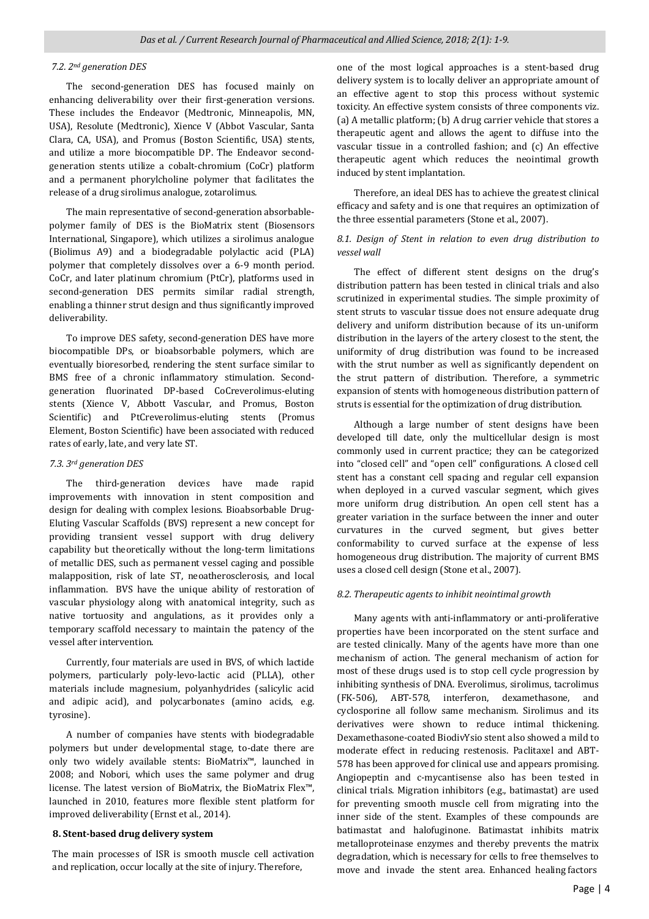# *7.2. 2nd generation DES*

 The second-generation DES has focused mainly on enhancing deliverability over their first-generation versions. These includes the Endeavor (Medtronic, Minneapolis, MN, USA), Resolute (Medtronic), Xience V (Abbot Vascular, Santa Clara, CA, USA), and Promus (Boston Scientific, USA) stents, and utilize a more biocompatible DP. The Endeavor secondgeneration stents utilize a cobalt-chromium (CoCr) platform and a permanent phorylcholine polymer that facilitates the release of a drug sirolimus analogue, zotarolimus.

 The main representative of second-generation absorbablepolymer family of DES is the BioMatrix stent (Biosensors International, Singapore), which utilizes a sirolimus analogue (Biolimus A9) and a biodegradable polylactic acid (PLA) polymer that completely dissolves over a 6-9 month period. CoCr, and later platinum chromium (PtCr), platforms used in second-generation DES permits similar radial strength, enabling a thinner strut design and thus significantly improved deliverability.

 To improve DES safety, second-generation DES have more biocompatible DPs, or bioabsorbable polymers, which are eventually bioresorbed, rendering the stent surface similar to BMS free of a chronic inflammatory stimulation. Secondgeneration fluorinated DP-based CoCreverolimus-eluting stents (Xience V, Abbott Vascular, and Promus, Boston Scientific) and PtCreverolimus-eluting stents (Promus Element, Boston Scientific) have been associated with reduced rates of early, late, and very late ST.

#### *7.3. 3rd generation DES*

 The third-generation devices have made rapid improvements with innovation in stent composition and design for dealing with complex lesions. Bioabsorbable Drug-Eluting Vascular Scaffolds (BVS) represent a new concept for providing transient vessel support with drug delivery capability but theoretically without the long-term limitations of metallic DES, such as permanent vessel caging and possible malapposition, risk of late ST, neoatherosclerosis, and local inflammation. BVS have the unique ability of restoration of vascular physiology along with anatomical integrity, such as native tortuosity and angulations, as it provides only a temporary scaffold necessary to maintain the patency of the vessel after intervention.

 Currently, four materials are used in BVS, of which lactide polymers, particularly poly-levo-lactic acid (PLLA), other materials include magnesium, polyanhydrides (salicylic acid and adipic acid), and polycarbonates (amino acids, e.g. tyrosine).

 A number of companies have stents with biodegradable polymers but under developmental stage, to-date there are only two widely available stents: BioMatrix™, launched in 2008; and Nobori, which uses the same polymer and drug license. The latest version of BioMatrix, the BioMatrix Flex™, launched in 2010, features more flexible stent platform for improved deliverability (Ernst et al., 2014).

# **8. Stent-based drug delivery system**

The main processes of ISR is smooth muscle cell activation and replication, occur locally at the site of injury. Therefore,

one of the most logical approaches is a stent-based drug delivery system is to locally deliver an appropriate amount of an effective agent to stop this process without systemic toxicity. An effective system consists of three components viz. (a) A metallic platform; (b) A drug carrier vehicle that stores a therapeutic agent and allows the agent to diffuse into the vascular tissue in a controlled fashion; and (c) An effective therapeutic agent which reduces the neointimal growth induced by stent implantation.

 Therefore, an ideal DES has to achieve the greatest clinical efficacy and safety and is one that requires an optimization of the three essential parameters (Stone et al., 2007).

# *8.1. Design of Stent in relation to even drug distribution to vessel wall*

 The effect of different stent designs on the drug's distribution pattern has been tested in clinical trials and also scrutinized in experimental studies. The simple proximity of stent struts to vascular tissue does not ensure adequate drug delivery and uniform distribution because of its un-uniform distribution in the layers of the artery closest to the stent, the uniformity of drug distribution was found to be increased with the strut number as well as significantly dependent on the strut pattern of distribution. Therefore, a symmetric expansion of stents with homogeneous distribution pattern of struts is essential for the optimization of drug distribution.

 Although a large number of stent designs have been developed till date, only the multicellular design is most commonly used in current practice; they can be categorized into "closed cell" and "open cell" configurations. A closed cell stent has a constant cell spacing and regular cell expansion when deployed in a curved vascular segment, which gives more uniform drug distribution. An open cell stent has a greater variation in the surface between the inner and outer curvatures in the curved segment, but gives better conformability to curved surface at the expense of less homogeneous drug distribution. The majority of current BMS uses a closed cell design (Stone et al., 2007).

## *8.2. Therapeutic agents to inhibit neointimal growth*

 Many agents with anti-inflammatory or anti-proliferative properties have been incorporated on the stent surface and are tested clinically. Many of the agents have more than one mechanism of action. The general mechanism of action for most of these drugs used is to stop cell cycle progression by inhibiting synthesis of DNA. Everolimus, sirolimus, tacrolimus (FK-506), ABT-578, interferon, dexamethasone, and cyclosporine all follow same mechanism. Sirolimus and its derivatives were shown to reduce intimal thickening. Dexamethasone-coated BiodivYsio stent also showed a mild to moderate effect in reducing restenosis. Paclitaxel and ABT-578 has been approved for clinical use and appears promising. Angiopeptin and c-mycantisense also has been tested in clinical trials. Migration inhibitors (e.g., batimastat) are used for preventing smooth muscle cell from migrating into the inner side of the stent. Examples of these compounds are batimastat and halofuginone. Batimastat inhibits matrix metalloproteinase enzymes and thereby prevents the matrix degradation, which is necessary for cells to free themselves to move and invade the stent area. Enhanced healing factors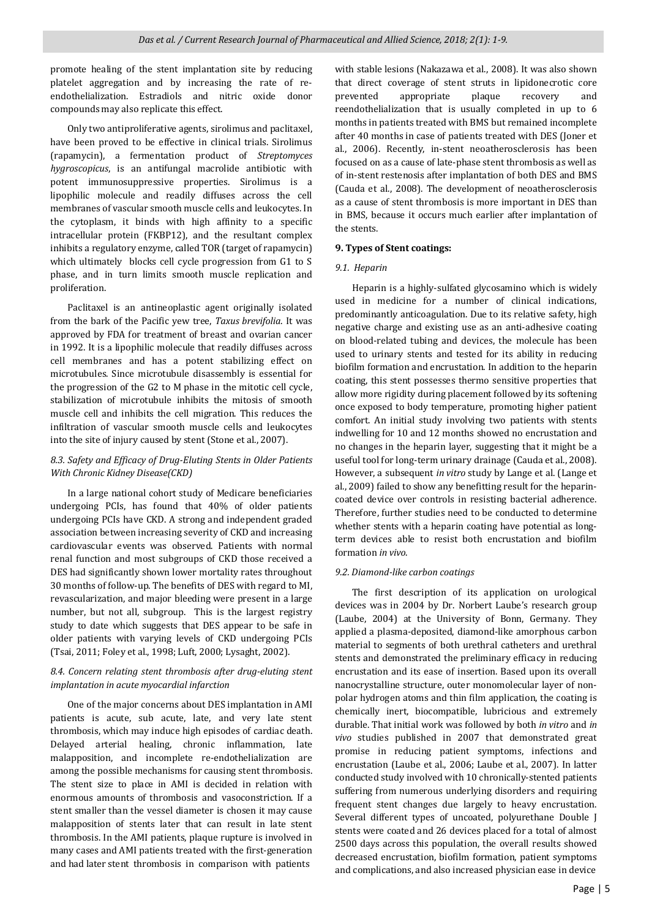promote healing of the stent implantation site by reducing platelet aggregation and by increasing the rate of reendothelialization. Estradiols and nitric oxide donor compounds may also replicate this effect.

 Only two antiproliferative agents, sirolimus and paclitaxel, have been proved to be effective in clinical trials. Sirolimus (rapamycin), a fermentation product of *Streptomyces hygroscopicus*, is an antifungal macrolide antibiotic with potent immunosuppressive properties. Sirolimus is a lipophilic molecule and readily diffuses across the cell membranes of vascular smooth muscle cells and leukocytes. In the cytoplasm, it binds with high affinity to a specific intracellular protein (FKBP12), and the resultant complex inhibits a regulatory enzyme, called TOR (target of rapamycin) which ultimately blocks cell cycle progression from G1 to S phase, and in turn limits smooth muscle replication and proliferation.

 Paclitaxel is an antineoplastic agent originally isolated from the bark of the Pacific yew tree, *Taxus brevifolia*. It was approved by FDA for treatment of breast and ovarian cancer in 1992. It is a lipophilic molecule that readily diffuses across cell membranes and has a potent stabilizing effect on microtubules. Since microtubule disassembly is essential for the progression of the G2 to M phase in the mitotic cell cycle, stabilization of microtubule inhibits the mitosis of smooth muscle cell and inhibits the cell migration. This reduces the infiltration of vascular smooth muscle cells and leukocytes into the site of injury caused by stent (Stone et al., 2007).

# *8.3. Safety and Efficacy of Drug-Eluting Stents in Older Patients With Chronic Kidney Disease(CKD)*

 In a large national cohort study of Medicare beneficiaries undergoing PCIs, has found that 40% of older patients undergoing PCIs have CKD. A strong and independent graded association between increasing severity of CKD and increasing cardiovascular events was observed. Patients with normal renal function and most subgroups of CKD those received a DES had significantly shown lower mortality rates throughout 30 months of follow-up. The benefits of DES with regard to MI, revascularization, and major bleeding were present in a large number, but not all, subgroup. This is the largest registry study to date which suggests that DES appear to be safe in older patients with varying levels of CKD undergoing PCIs (Tsai, 2011; Foley et al., 1998; Luft, 2000; Lysaght, 2002).

# *8.4. Concern relating stent thrombosis after drug-eluting stent implantation in acute myocardial infarction*

 One of the major concerns about DES implantation in AMI patients is acute, sub acute, late, and very late stent thrombosis, which may induce high episodes of cardiac death. Delayed arterial healing, chronic inflammation, late malapposition, and incomplete re-endothelialization are among the possible mechanisms for causing stent thrombosis. The stent size to place in AMI is decided in relation with enormous amounts of thrombosis and vasoconstriction. If a stent smaller than the vessel diameter is chosen it may cause malapposition of stents later that can result in late stent thrombosis. In the AMI patients, plaque rupture is involved in many cases and AMI patients treated with the first-generation and had later stent thrombosis in comparison with patients

with stable lesions (Nakazawa et al., 2008). It was also shown that direct coverage of stent struts in lipidonecrotic core prevented appropriate plaque recovery and reendothelialization that is usually completed in up to 6 months in patients treated with BMS but remained incomplete after 40 months in case of patients treated with DES (Joner et al., 2006). Recently, in-stent neoatherosclerosis has been focused on as a cause of late-phase stent thrombosis as well as of in-stent restenosis after implantation of both DES and BMS (Cauda et al., 2008). The development of neoatherosclerosis as a cause of stent thrombosis is more important in DES than in BMS, because it occurs much earlier after implantation of the stents.

# **9. Types of Stent coatings:**

### *9.1. Heparin*

 Heparin is a highly-sulfated glycosamino which is widely used in medicine for a number of clinical indications, predominantly anticoagulation. Due to its relative safety, high negative charge and existing use as an anti-adhesive coating on blood-related tubing and devices, the molecule has been used to urinary stents and tested for its ability in reducing biofilm formation and encrustation. In addition to the heparin coating, this stent possesses thermo sensitive properties that allow more rigidity during placement followed by its softening once exposed to body temperature, promoting higher patient comfort. An initial study involving two patients with stents indwelling for 10 and 12 months showed no encrustation and no changes in the heparin layer, suggesting that it might be a useful tool for long-term urinary drainage (Cauda et al., 2008). However, a subsequent *in vitro* study by Lange et al. (Lange et al., 2009) failed to show any benefitting result for the heparincoated device over controls in resisting bacterial adherence. Therefore, further studies need to be conducted to determine whether stents with a heparin coating have potential as longterm devices able to resist both encrustation and biofilm formation *in vivo*.

# *9.2. Diamond-like carbon coatings*

 The first description of its application on urological devices was in 2004 by Dr. Norbert Laube's research group (Laube, 2004) at the University of Bonn, Germany. They applied a plasma-deposited, diamond-like amorphous carbon material to segments of both urethral catheters and urethral stents and demonstrated the preliminary efficacy in reducing encrustation and its ease of insertion. Based upon its overall nanocrystalline structure, outer monomolecular layer of nonpolar hydrogen atoms and thin film application, the coating is chemically inert, biocompatible, lubricious and extremely durable. That initial work was followed by both *in vitro* and *in vivo* studies published in 2007 that demonstrated great promise in reducing patient symptoms, infections and encrustation (Laube et al., 2006; Laube et al., 2007). In latter conducted study involved with 10 chronically-stented patients suffering from numerous underlying disorders and requiring frequent stent changes due largely to heavy encrustation. Several different types of uncoated, polyurethane Double J stents were coated and 26 devices placed for a total of almost 2500 days across this population, the overall results showed decreased encrustation, biofilm formation, patient symptoms and complications, and also increased physician ease in device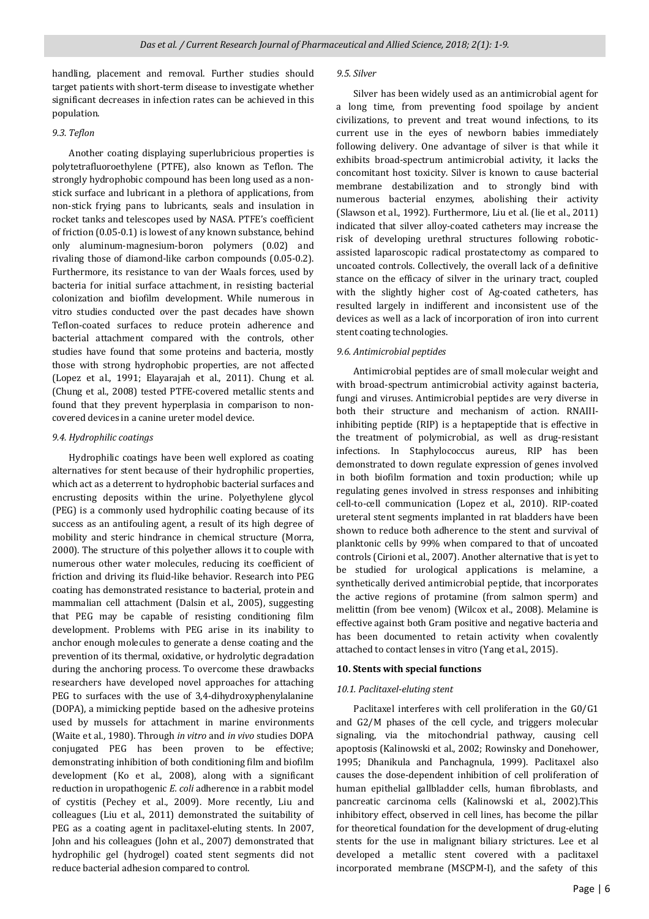handling, placement and removal. Further studies should target patients with short-term disease to investigate whether significant decreases in infection rates can be achieved in this population.

### *9.3. Teflon*

 Another coating displaying superlubricious properties is polytetrafluoroethylene (PTFE), also known as Teflon. The strongly hydrophobic compound has been long used as a nonstick surface and lubricant in a plethora of applications, from non-stick frying pans to lubricants, seals and insulation in rocket tanks and telescopes used by NASA. PTFE's coefficient of friction (0.05-0.1) is lowest of any known substance, behind only aluminum-magnesium-boron polymers (0.02) and rivaling those of diamond-like carbon compounds (0.05-0.2). Furthermore, its resistance to van der Waals forces, used by bacteria for initial surface attachment, in resisting bacterial colonization and biofilm development. While numerous in vitro studies conducted over the past decades have shown Teflon-coated surfaces to reduce protein adherence and bacterial attachment compared with the controls, other studies have found that some proteins and bacteria, mostly those with strong hydrophobic properties, are not affected (Lopez et al., 1991; Elayarajah et al., 2011). Chung et al. (Chung et al., 2008) tested PTFE-covered metallic stents and found that they prevent hyperplasia in comparison to noncovered devices in a canine ureter model device.

# *9.4. Hydrophilic coatings*

 Hydrophilic coatings have been well explored as coating alternatives for stent because of their hydrophilic properties, which act as a deterrent to hydrophobic bacterial surfaces and encrusting deposits within the urine. Polyethylene glycol (PEG) is a commonly used hydrophilic coating because of its success as an antifouling agent, a result of its high degree of mobility and steric hindrance in chemical structure (Morra, 2000). The structure of this polyether allows it to couple with numerous other water molecules, reducing its coefficient of friction and driving its fluid-like behavior. Research into PEG coating has demonstrated resistance to bacterial, protein and mammalian cell attachment (Dalsin et al., 2005), suggesting that PEG may be capable of resisting conditioning film development. Problems with PEG arise in its inability to anchor enough molecules to generate a dense coating and the prevention of its thermal, oxidative, or hydrolytic degradation during the anchoring process. To overcome these drawbacks researchers have developed novel approaches for attaching PEG to surfaces with the use of 3,4-dihydroxyphenylalanine (DOPA), a mimicking peptide based on the adhesive proteins used by mussels for attachment in marine environments (Waite et al., 1980). Through *in vitro* and *in vivo* studies DOPA conjugated PEG has been proven to be effective; demonstrating inhibition of both conditioning film and biofilm development (Ko et al., 2008), along with a significant reduction in uropathogenic *E. coli* adherence in a rabbit model of cystitis (Pechey et al., 2009). More recently, Liu and colleagues (Liu et al., 2011) demonstrated the suitability of PEG as a coating agent in paclitaxel-eluting stents. In 2007, John and his colleagues (John et al., 2007) demonstrated that hydrophilic gel (hydrogel) coated stent segments did not reduce bacterial adhesion compared to control.

#### *9.5. Silver*

 Silver has been widely used as an antimicrobial agent for a long time, from preventing food spoilage by ancient civilizations, to prevent and treat wound infections, to its current use in the eyes of newborn babies immediately following delivery. One advantage of silver is that while it exhibits broad-spectrum antimicrobial activity, it lacks the concomitant host toxicity. Silver is known to cause bacterial membrane destabilization and to strongly bind with numerous bacterial enzymes, abolishing their activity (Slawson et al., 1992). Furthermore, Liu et al. (lie et al., 2011) indicated that silver alloy-coated catheters may increase the risk of developing urethral structures following roboticassisted laparoscopic radical prostatectomy as compared to uncoated controls. Collectively, the overall lack of a definitive stance on the efficacy of silver in the urinary tract, coupled with the slightly higher cost of Ag-coated catheters, has resulted largely in indifferent and inconsistent use of the devices as well as a lack of incorporation of iron into current stent coating technologies.

# *9.6. Antimicrobial peptides*

 Antimicrobial peptides are of small molecular weight and with broad-spectrum antimicrobial activity against bacteria, fungi and viruses. Antimicrobial peptides are very diverse in both their structure and mechanism of action. RNAIIIinhibiting peptide (RIP) is a heptapeptide that is effective in the treatment of polymicrobial, as well as drug-resistant infections. In Staphylococcus aureus, RIP has been demonstrated to down regulate expression of genes involved in both biofilm formation and toxin production; while up regulating genes involved in stress responses and inhibiting cell-to-cell communication (Lopez et al., 2010). RIP-coated ureteral stent segments implanted in rat bladders have been shown to reduce both adherence to the stent and survival of planktonic cells by 99% when compared to that of uncoated controls (Cirioni et al., 2007). Another alternative that is yet to be studied for urological applications is melamine, a synthetically derived antimicrobial peptide, that incorporates the active regions of protamine (from salmon sperm) and melittin (from bee venom) (Wilcox et al., 2008). Melamine is effective against both Gram positive and negative bacteria and has been documented to retain activity when covalently attached to contact lenses in vitro (Yang et al., 2015).

### **10. Stents with special functions**

### *10.1. Paclitaxel-eluting stent*

 Paclitaxel interferes with cell proliferation in the G0/G1 and G2/M phases of the cell cycle, and triggers molecular signaling, via the mitochondrial pathway, causing cell apoptosis (Kalinowski et al., 2002; Rowinsky and Donehower, 1995; Dhanikula and Panchagnula, 1999). Paclitaxel also causes the dose-dependent inhibition of cell proliferation of human epithelial gallbladder cells, human fibroblasts, and pancreatic carcinoma cells (Kalinowski et al., 2002).This inhibitory effect, observed in cell lines, has become the pillar for theoretical foundation for the development of drug-eluting stents for the use in malignant biliary strictures. Lee et al developed a metallic stent covered with a paclitaxel incorporated membrane (MSCPM-I), and the safety of this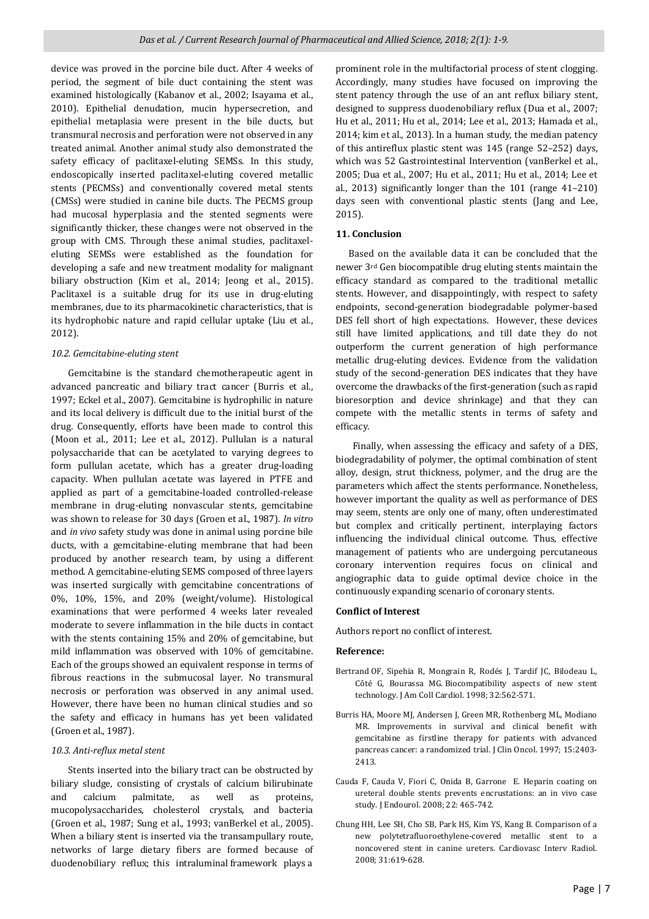device was proved in the porcine bile duct. After 4 weeks of period, the segment of bile duct containing the stent was examined histologically (Kabanov et al., 2002; Isayama et al., 2010). Epithelial denudation, mucin hypersecretion, and epithelial metaplasia were present in the bile ducts, but transmural necrosis and perforation were not observed in any treated animal. Another animal study also demonstrated the safety efficacy of paclitaxel-eluting SEMSs. In this study, endoscopically inserted paclitaxel-eluting covered metallic stents (PECMSs) and conventionally covered metal stents (CMSs) were studied in canine bile ducts. The PECMS group had mucosal hyperplasia and the stented segments were significantly thicker, these changes were not observed in the group with CMS. Through these animal studies, paclitaxeleluting SEMSs were established as the foundation for developing a safe and new treatment modality for malignant biliary obstruction (Kim et al., 2014; Jeong et al., 2015). Paclitaxel is a suitable drug for its use in drug-eluting membranes, due to its pharmacokinetic characteristics, that is its hydrophobic nature and rapid cellular uptake (Liu et al., 2012).

#### *10.2. Gemcitabine-eluting stent*

 Gemcitabine is the standard chemotherapeutic agent in advanced pancreatic and biliary tract cancer (Burris et al., 1997; Eckel et al., 2007). Gemcitabine is hydrophilic in nature and its local delivery is difficult due to the initial burst of the drug. Consequently, efforts have been made to control this (Moon et al., 2011; Lee et al., 2012). Pullulan is a natural polysaccharide that can be acetylated to varying degrees to form pullulan acetate, which has a greater drug-loading capacity. When pullulan acetate was layered in PTFE and applied as part of a gemcitabine-loaded controlled-release membrane in drug-eluting nonvascular stents, gemcitabine was shown to release for 30 days (Groen et al., 1987). *In vitro* and *in vivo* safety study was done in animal using porcine bile ducts, with a gemcitabine-eluting membrane that had been produced by another research team, by using a different method. A gemcitabine-eluting SEMS composed of three layers was inserted surgically with gemcitabine concentrations of 0%, 10%, 15%, and 20% (weight/volume). Histological examinations that were performed 4 weeks later revealed moderate to severe inflammation in the bile ducts in contact with the stents containing 15% and 20% of gemcitabine, but mild inflammation was observed with 10% of gemcitabine. Each of the groups showed an equivalent response in terms of fibrous reactions in the submucosal layer. No transmural necrosis or perforation was observed in any animal used. However, there have been no human clinical studies and so the safety and efficacy in humans has yet been validated (Groen et al., 1987).

# *10.3. Anti-reflux metal stent*

 Stents inserted into the biliary tract can be obstructed by biliary sludge, consisting of crystals of calcium bilirubinate and calcium palmitate, as well as proteins, mucopolysaccharides, cholesterol crystals, and bacteria (Groen et al., 1987; Sung et al., 1993; vanBerkel et al., 2005). When a biliary stent is inserted via the transampullary route, networks of large dietary fibers are formed because of duodenobiliary reflux; this intraluminal framework plays a

prominent role in the multifactorial process of stent clogging. Accordingly, many studies have focused on improving the stent patency through the use of an ant reflux biliary stent, designed to suppress duodenobiliary reflux (Dua et al., 2007; Hu et al., 2011; Hu et al., 2014; Lee et al., 2013; Hamada et al., 2014; kim et al., 2013). In a human study, the median patency of this antireflux plastic stent was 145 (range 52–252) days, which was 52 Gastrointestinal Intervention (vanBerkel et al., 2005; Dua et al., 2007; Hu et al., 2011; Hu et al., 2014; Lee et al., 2013) significantly longer than the 101 (range 41–210) days seen with conventional plastic stents (Jang and Lee, 2015).

# **11. Conclusion**

 Based on the available data it can be concluded that the newer 3rd Gen biocompatible drug eluting stents maintain the efficacy standard as compared to the traditional metallic stents. However, and disappointingly, with respect to safety endpoints, second-generation biodegradable polymer-based DES fell short of high expectations. However, these devices still have limited applications, and till date they do not outperform the current generation of high performance metallic drug-eluting devices. Evidence from the validation study of the second-generation DES indicates that they have overcome the drawbacks of the first-generation (such as rapid bioresorption and device shrinkage) and that they can compete with the metallic stents in terms of safety and efficacy.

 Finally, when assessing the efficacy and safety of a DES, biodegradability of polymer, the optimal combination of stent alloy, design, strut thickness, polymer, and the drug are the parameters which affect the stents performance. Nonetheless, however important the quality as well as performance of DES may seem, stents are only one of many, often underestimated but complex and critically pertinent, interplaying factors influencing the individual clinical outcome. Thus, effective management of patients who are undergoing percutaneous coronary intervention requires focus on clinical and angiographic data to guide optimal device choice in the continuously expanding scenario of coronary stents.

#### **Conflict of Interest**

Authors report no conflict of interest.

#### **Reference:**

- Bertrand OF, Sipehia R, Mongrain R, Rodés J, Tardif JC, Bilodeau L, Côté G, Bourassa MG. Biocompatibility aspects of new stent technology. J Am Coll Cardiol. 1998; 32:562-571.
- Burris HA, Moore MJ, Andersen J, Green MR, Rothenberg ML, Modiano MR. Improvements in survival and clinical benefit with gemcitabine as firstline therapy for patients with advanced pancreas cancer: a randomized trial. J Clin Oncol. 1997; 15:2403- 2413.
- Cauda F, Cauda V, Fiori C, Onida B, Garrone E. Heparin coating on ureteral double stents prevents encrustations: an in vivo case study. J Endourol. 2008; 22: 465-742.
- Chung HH, Lee SH, Cho SB, Park HS, Kim YS, Kang B. Comparison of a new polytetrafluoroethylene-covered metallic stent to a noncovered stent in canine ureters. Cardiovasc Interv Radiol. 2008; 31:619-628.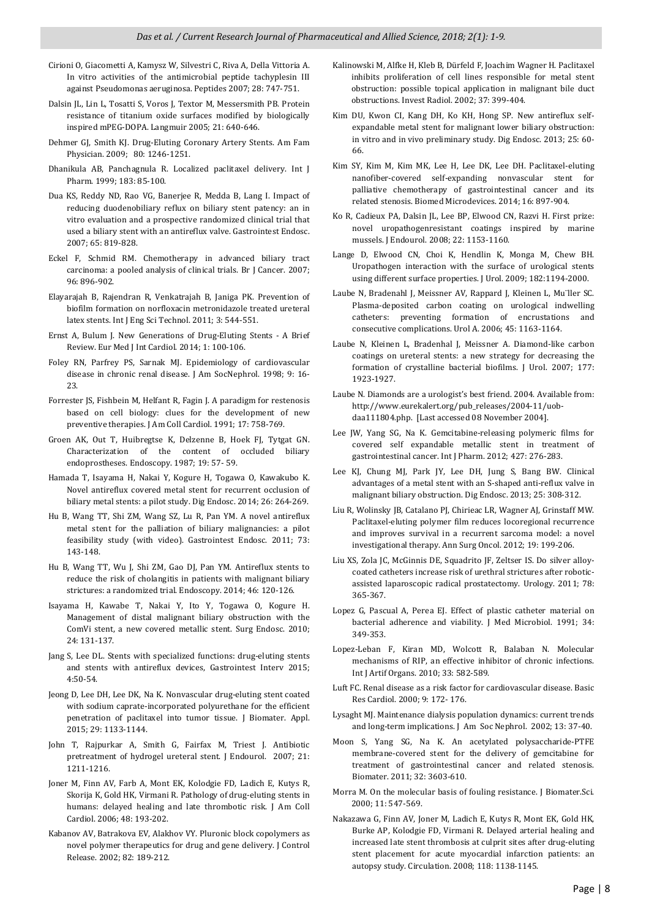Cirioni O, Giacometti A, Kamysz W, Silvestri C, Riva A, Della Vittoria A. In vitro activities of the antimicrobial peptide tachyplesin III against Pseudomonas aeruginosa. Peptides 2007; 28: 747-751.

ļ

- Dalsin JL, Lin L, Tosatti S, Voros J, Textor M, Messersmith PB. Protein resistance of titanium oxide surfaces modified by biologically inspired mPEG-DOPA. Langmuir 2005; 21: 640-646.
- Dehmer GJ, Smith KJ. Drug-Eluting Coronary Artery Stents. Am Fam Physician. 2009; 80: 1246-1251.
- Dhanikula AB, Panchagnula R. Localized paclitaxel delivery. Int J Pharm. 1999; 183: 85-100.
- Dua KS, Reddy ND, Rao VG, Banerjee R, Medda B, Lang I. Impact of reducing duodenobiliary reflux on biliary stent patency: an in vitro evaluation and a prospective randomized clinical trial that used a biliary stent with an antireflux valve. Gastrointest Endosc. 2007; 65: 819-828.
- Eckel F, Schmid RM. Chemotherapy in advanced biliary tract carcinoma: a pooled analysis of clinical trials. Br J Cancer. 2007; 96: 896-902.
- Elayarajah B, Rajendran R, Venkatrajah B, Janiga PK. Prevention of biofilm formation on norfloxacin metronidazole treated ureteral latex stents. Int J Eng Sci Technol. 2011; 3: 544-551.
- Ernst A, Bulum J. New Generations of Drug-Eluting Stents A Brief Review. Eur Med J Int Cardiol. 2014; 1: 100-106.
- Foley RN, Parfrey PS, Sarnak MJ. Epidemiology of cardiovascular disease in chronic renal disease. J Am SocNephrol. 1998; 9: 16- 23.
- Forrester JS, Fishbein M, Helfant R, Fagin J. A paradigm for restenosis based on cell biology: clues for the development of new preventive therapies. J Am Coll Cardiol. 1991; 17: 758-769.
- Groen AK, Out T, Huibregtse K, Delzenne B, Hoek FJ, Tytgat GN. Characterization of the content of occluded biliary endoprostheses. Endoscopy. 1987; 19: 57- 59.
- Hamada T, Isayama H, Nakai Y, Kogure H, Togawa O, Kawakubo K. Novel antireflux covered metal stent for recurrent occlusion of biliary metal stents: a pilot study. Dig Endosc. 2014; 26: 264-269.
- Hu B, Wang TT, Shi ZM, Wang SZ, Lu R, Pan YM. A novel antireflux metal stent for the palliation of biliary malignancies: a pilot feasibility study (with video). Gastrointest Endosc. 2011; 73: 143-148.
- Hu B, Wang TT, Wu J, Shi ZM, Gao DJ, Pan YM. Antireflux stents to reduce the risk of cholangitis in patients with malignant biliary strictures: a randomized trial. Endoscopy. 2014; 46: 120-126.
- Isayama H, Kawabe T, Nakai Y, Ito Y, Togawa O, Kogure H. Management of distal malignant biliary obstruction with the ComVi stent, a new covered metallic stent. Surg Endosc. 2010; 24: 131-137.
- Jang S, Lee DL. Stents with specialized functions: drug-eluting stents and stents with antireflux devices, Gastrointest Interv 2015; 4:50-54.
- Jeong D, Lee DH, Lee DK, Na K. Nonvascular drug-eluting stent coated with sodium caprate-incorporated polyurethane for the efficient penetration of paclitaxel into tumor tissue. J Biomater. Appl. 2015; 29: 1133-1144.
- John T, Rajpurkar A, Smith G, Fairfax M, Triest J. Antibiotic pretreatment of hydrogel ureteral stent. J Endourol. 2007; 21: 1211-1216.
- Joner M, Finn AV, Farb A, Mont EK, Kolodgie FD, Ladich E, Kutys R, Skorija K, Gold HK, Virmani R. Pathology of drug-eluting stents in humans: delayed healing and late thrombotic risk. J Am Coll Cardiol. 2006; 48: 193-202.
- Kabanov AV, Batrakova EV, Alakhov VY. Pluronic block copolymers as novel polymer therapeutics for drug and gene delivery. J Control Release. 2002; 82: 189-212.
- Kalinowski M, Alfke H, Kleb B, Dürfeld F, Joachim Wagner H. Paclitaxel inhibits proliferation of cell lines responsible for metal stent obstruction: possible topical application in malignant bile duct obstructions. Invest Radiol. 2002; 37: 399-404.
- Kim DU, Kwon CI, Kang DH, Ko KH, Hong SP. New antireflux selfexpandable metal stent for malignant lower biliary obstruction: in vitro and in vivo preliminary study. Dig Endosc. 2013; 25: 60- 66.
- Kim SY, Kim M, Kim MK, Lee H, Lee DK, Lee DH. Paclitaxel-eluting nanofiber-covered self-expanding nonvascular stent for palliative chemotherapy of gastrointestinal cancer and its related stenosis. Biomed Microdevices. 2014; 16: 897-904.
- Ko R, Cadieux PA, Dalsin JL, Lee BP, Elwood CN, Razvi H. First prize: novel uropathogenresistant coatings inspired by marine mussels. J Endourol. 2008; 22: 1153-1160.
- Lange D, Elwood CN, Choi K, Hendlin K, Monga M, Chew BH. Uropathogen interaction with the surface of urological stents using different surface properties. J Urol. 2009; 182:1194-2000.
- Laube N, Bradenahl J, Meissner AV, Rappard J, Kleinen L, Mu¨ller SC. Plasma-deposited carbon coating on urological indwelling catheters: preventing formation of encrustations and consecutive complications. Urol A. 2006; 45: 1163-1164.
- Laube N, Kleinen L, Bradenhal J, Meissner A. Diamond-like carbon coatings on ureteral stents: a new strategy for decreasing the formation of crystalline bacterial biofilms. J Urol. 2007; 177: 1923-1927.
- Laube N. Diamonds are a urologist's best friend. 2004. Available from: http://www.eurekalert.org/pub\_releases/2004-11/uobdaa111804.php. [Last accessed 08 November 2004].
- Lee JW, Yang SG, Na K. Gemcitabine-releasing polymeric films for covered self expandable metallic stent in treatment of gastrointestinal cancer. Int J Pharm. 2012; 427: 276-283.
- Lee KJ, Chung MJ, Park JY, Lee DH, Jung S, Bang BW. Clinical advantages of a metal stent with an S-shaped anti-reflux valve in malignant biliary obstruction. Dig Endosc. 2013; 25: 308-312.
- Liu R, Wolinsky JB, Catalano PJ, Chirieac LR, Wagner AJ, Grinstaff MW. Paclitaxel-eluting polymer film reduces locoregional recurrence and improves survival in a recurrent sarcoma model: a novel investigational therapy. Ann Surg Oncol. 2012; 19: 199-206.
- Liu XS, Zola JC, McGinnis DE, Squadrito JF, Zeltser IS. Do silver alloycoated catheters increase risk of urethral strictures after roboticassisted laparoscopic radical prostatectomy. Urology. 2011; 78: 365-367.
- Lopez G, Pascual A, Perea EJ. Effect of plastic catheter material on bacterial adherence and viability. J Med Microbiol. 1991; 34: 349-353.
- Lopez-Leban F, Kiran MD, Wolcott R, Balaban N. Molecular mechanisms of RIP, an effective inhibitor of chronic infections. Int J Artif Organs. 2010; 33: 582-589.
- Luft FC. Renal disease as a risk factor for cardiovascular disease. Basic Res Cardiol. 2000; 9: 172- 176.
- Lysaght MJ. Maintenance dialysis population dynamics: current trends and long-term implications. J Am Soc Nephrol. 2002; 13: 37-40.
- Moon S, Yang SG, Na K. An acetylated polysaccharide-PTFE membrane-covered stent for the delivery of gemcitabine for treatment of gastrointestinal cancer and related stenosis. Biomater. 2011; 32: 3603-610.
- Morra M. On the molecular basis of fouling resistance. J Biomater.Sci. 2000; 11: 547-569.
- Nakazawa G, Finn AV, Joner M, Ladich E, Kutys R, Mont EK, Gold HK, Burke AP, Kolodgie FD, Virmani R. Delayed arterial healing and increased late stent thrombosis at culprit sites after drug-eluting stent placement for acute myocardial infarction patients: an autopsy study. Circulation. 2008; 118: 1138-1145.